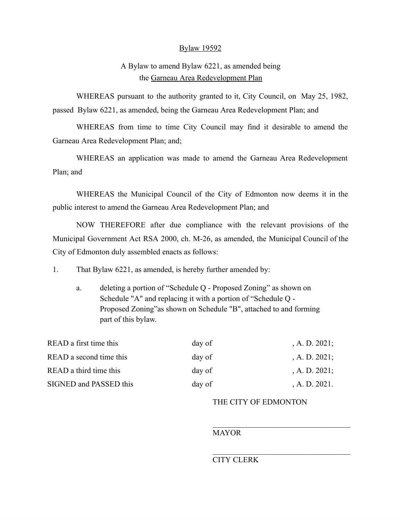## Bylaw 19592

## A Bylaw to amend Bylaw 6221, as amended being the Garneau Area Redevelopment Plan

WHEREAS pursuant to the authority granted to it, City Council, on May 25, 1982, passed Bylaw 6221, as amended, being the Garneau Area Redevelopment Plan; and

WHEREAS from time to time City Council may find it desirable to amend the Garneau Area Redevelopment Plan; and;

WHEREAS an application was made to amend the Garneau Area Redevelopment Plan; and

WHEREAS the Municipal Council of the City of Edmonton now deems it in the public interest to amend the Garneau Area Redevelopment Plan; and

NOW THEREFORE after due compliance with the relevant provisions of the Municipal Government Act RSA 2000, ch. M-26, as amended, the Municipal Council of the City of Edmonton duly assembled enacts as follows:

1. That Bylaw 6221, as amended, is hereby further amended by:

a. deleting a portion of "Schedule Q - Proposed Zoning" as shown on Schedule "A" and replacing it with a portion of "Schedule Q - Proposed Zoning"as shown on Schedule "B", attached to and forming part of this bylaw.

| READ a first time this  | day of | , A. D. $2021$ ; |
|-------------------------|--------|------------------|
| READ a second time this | day of | , A. D. $2021$ ; |
| READ a third time this  | day of | , A. D. $2021$ ; |
| SIGNED and PASSED this  | day of | A. D. 2021.      |

## THE CITY OF EDMONTON

## **MAYOR**

## CITY CLERK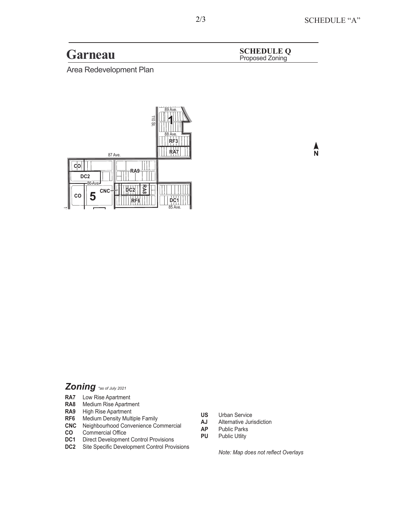**Garneau SCHEDULE Q**<br> **Proposed Zoning** 

Area Redevelopment Plan



# $\frac{\lambda}{N}$

# *Zoning \*as of July 2021*

- **RA7** Low Rise Apartment
- **RA8** Medium Rise Apartment
- **RA9** High Rise Apartment
- **RF6** Medium Density Multiple Family
- **CNC** Neighbourhood Convenience Commercial
- **CO** Commercial Office
- **DC1** Direct Development Control Provisions
- **DC2** Site Specific Development Control Provisions
- **US** Urban Service
- **AJ** Alternative Jurisdiction
- **AP** Public Parks
- **PU** Public Utlity

*Note: Map does not reflect Overlays*